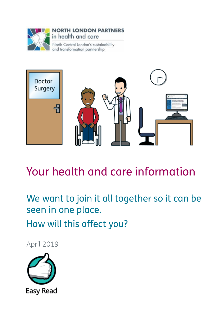

#### **NORTH LONDON PARTNERS** in health and care

North Central London's sustainability and transformation partnership



### Your health and care information

We want to join it all together so it can be seen in one place. How will this affect you?

April 2019

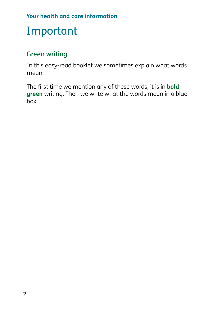## Important

#### Green writing

In this easy-read booklet we sometimes explain what words mean.

The first time we mention any of these words, it is in **bold green** writing. Then we write what the words mean in a blue box.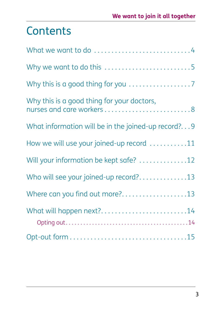### **Contents**

| Why we want to do this 5                                                |
|-------------------------------------------------------------------------|
|                                                                         |
| Why this is a good thing for your doctors,<br>nurses and care workers 8 |
| What information will be in the joined-up record?9                      |
| How we will use your joined-up record 11                                |
| Will your information be kept safe? 12                                  |
| Who will see your joined-up record?13                                   |
| Where can you find out more?13                                          |
| What will happen next?14                                                |
|                                                                         |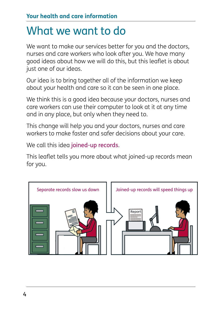### What we want to do

We want to make our services better for you and the doctors, nurses and care workers who look after you. We have many good ideas about how we will do this, but this leaflet is about just one of our ideas.

Our idea is to bring together all of the information we keep about your health and care so it can be seen in one place.

We think this is a good idea because your doctors, nurses and care workers can use their computer to look at it at any time and in any place, but only when they need to.

This change will help you and your doctors, nurses and care workers to make faster and safer decisions about your care.

We call this idea joined-up records.

This leaflet tells you more about what joined-up records mean for you.

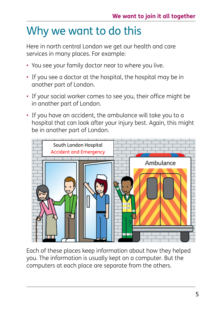# Why we want to do this

Here in north central London we get our health and care services in many places. For example:

- You see your family doctor near to where you live.
- If you see a doctor at the hospital, the hospital may be in another part of London.
- If your social worker comes to see you, their office might be in another part of London.
- If you have an accident, the ambulance will take you to a hospital that can look after your injury best. Again, this might be in another part of London.



Each of these places keep information about how they helped you. The information is usually kept on a computer. But the computers at each place are separate from the others.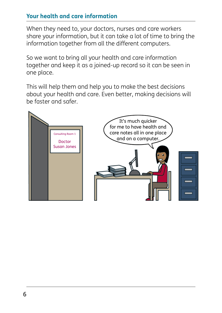#### **Your health and care information**

When they need to, your doctors, nurses and care workers share your information, but it can take a lot of time to bring the information together from all the different computers.

So we want to bring all your health and care information together and keep it as a joined-up record so it can be seen in one place.

This will help them and help you to make the best decisions about your health and care. Even better, making decisions will be faster and safer.

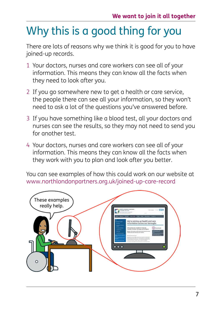# Why this is a good thing for you

There are lots of reasons why we think it is good for you to have joined-up records.

- 1 Your doctors, nurses and care workers can see all of your information. This means they can know all the facts when they need to look after you.
- 2 If you go somewhere new to get a health or care service, the people there can see all your information, so they won't need to ask a lot of the questions you've answered before.
- 3 If you have something like a blood test, all your doctors and nurses can see the results, so they may not need to send you for another test.
- 4 Your doctors, nurses and care workers can see all of your information. This means they can know all the facts when they work with you to plan and look after you better.

You can see examples of how this could work on our website at www.northlondonpartners.org.uk/joined-up-care-record

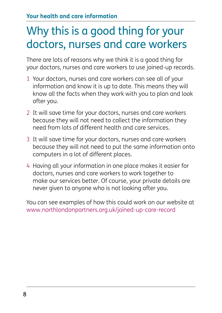## Why this is a good thing for your doctors, nurses and care workers

There are lots of reasons why we think it is a good thing for your doctors, nurses and care workers to use joined-up records.

- 1 Your doctors, nurses and care workers can see all of your information and know it is up to date. This means they will know all the facts when they work with you to plan and look after you.
- 2 It will save time for your doctors, nurses and care workers because they will not need to collect the information they need from lots of different health and care services.
- 3 It will save time for your doctors, nurses and care workers because they will not need to put the same information onto computers in a lot of different places.
- 4 Having all your information in one place makes it easier for doctors, nurses and care workers to work together to make our services better. Of course, your private details are never given to anyone who is not looking after you.

You can see examples of how this could work on our website at www.northlondonpartners.org.uk/joined-up-care-record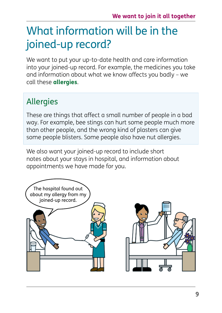## What information will be in the joined-up record?

We want to put your up-to-date health and care information into your joined-up record. For example, the medicines you take and information about what we know affects you badly – we call these **allergies**.

### Allergies

These are things that affect a small number of people in a bad way. For example, bee stings can hurt some people much more than other people, and the wrong kind of plasters can give some people blisters. Some people also have nut allergies.

We also want your joined-up record to include short notes about your stays in hospital, and information about appointments we have made for you.

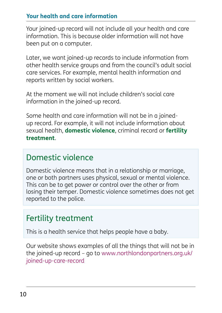#### **Your health and care information**

Your joined-up record will not include all your health and care information. This is because older information will not have been put on a computer.

Later, we want joined-up records to include information from other health service groups and from the council's adult social care services. For example, mental health information and reports written by social workers.

At the moment we will not include children's social care information in the joined-up record.

Some health and care information will not be in a joinedup record. For example, it will not include information about sexual health, **domestic violence**, criminal record or **fertility treatment**.

### Domestic violence

Domestic violence means that in a relationship or marriage, one or both partners uses physical, sexual or mental violence. This can be to get power or control over the other or from losing their temper. Domestic violence sometimes does not get reported to the police.

### Fertility treatment

This is a health service that helps people have a baby.

Our website shows examples of all the things that will not be in the joined-up record – go to www.northlondonpartners.org.uk/ joined-up-care-record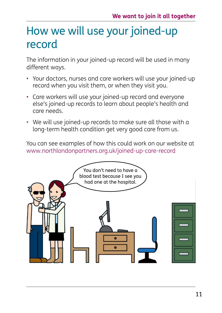### How we will use your joined-up record

The information in your joined-up record will be used in many different ways.

- Your doctors, nurses and care workers will use your joined-up record when you visit them, or when they visit you.
- Care workers will use your joined-up record and everyone else's joined-up records to learn about people's health and care needs.
- We will use joined-up records to make sure all those with a long-term health condition get very good care from us.

You can see examples of how this could work on our website at www.northlondonpartners.org.uk/joined-up-care-record

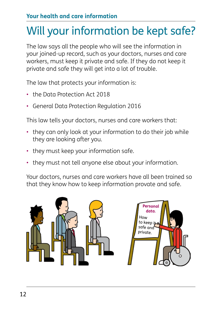# Will your information be kept safe?

The law says all the people who will see the information in your joined-up record, such as your doctors, nurses and care workers, must keep it private and safe. If they do not keep it private and safe they will get into a lot of trouble.

The law that protects your information is:

- the Data Protection Act 2018
- General Data Protection Regulation 2016

This law tells your doctors, nurses and care workers that:

- they can only look at your information to do their job while they are looking after you.
- they must keep your information safe.
- they must not tell anyone else about your information.

Your doctors, nurses and care workers have all been trained so that they know how to keep information provate and safe.

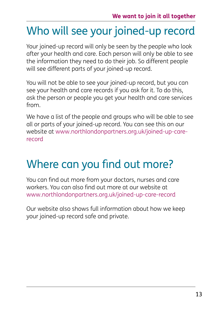## Who will see your joined-up record

Your joined-up record will only be seen by the people who look after your health and care. Each person will only be able to see the information they need to do their job. So different people will see different parts of your joined-up record.

You will not be able to see your joined-up record, but you can see your health and care records if you ask for it. To do this, ask the person or people you get your health and care services from.

We have a list of the people and groups who will be able to see all or parts of your joined-up record. You can see this on our website at www.northlondonpartners.org.uk/joined-up-carerecord

## Where can you find out more?

You can find out more from your doctors, nurses and care workers. You can also find out more at our website at www.northlondonpartners.org.uk/joined-up-care-record

Our website also shows full information about how we keep your joined-up record safe and private.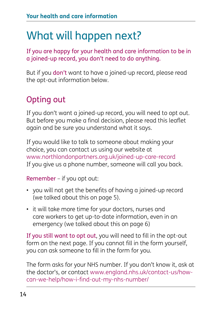## What will happen next?

If you are happy for your health and care information to be in a joined-up record, you don't need to do anything.

But if you don't want to have a joined-up record, please read the opt-out information below.

### Opting out

If you don't want a joined-up record, you will need to opt out. But before you make a final decision, please read this leaflet again and be sure you understand what it says.

If you would like to talk to someone about making your choice, you can contact us using our website at www.northlondonpartners.org.uk/joined-up-care-record If you give us a phone number, someone will call you back.

Remember – if you opt out:

- you will not get the benefits of having a joined-up record (we talked about this on page 5).
- it will take more time for your doctors, nurses and care workers to get up-to-date information, even in an emergency (we talked about this on page 6)

If you still want to opt out, you will need to fill in the opt-out form on the next page. If you cannot fill in the form yourself, you can ask someone to fill in the form for you.

The form asks for your NHS number. If you don't know it, ask at the doctor's, or contact www.england.nhs.uk/contact-us/howcan-we-help/how-i-find-out-my-nhs-number/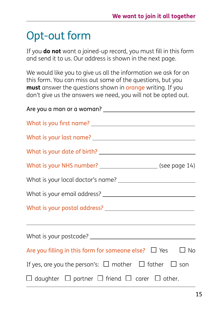# Opt-out form

If you **do not** want a joined-up record, you must fill in this form and send it to us. Our address is shown in the next page.

We would like you to give us all the information we ask for on this form. You can miss out some of the questions, but you **must** answer the questions shown in orange writing. If you don't give us the answers we need, you will not be opted out.

| Are you filling in this form for someone else? $\Box$ Yes $\Box$ No     |  |
|-------------------------------------------------------------------------|--|
| If yes, are you the person's: $\Box$ mother $\Box$ father $\Box$ son    |  |
| $\Box$ daughter $\Box$ partner $\Box$ friend $\Box$ carer $\Box$ other. |  |